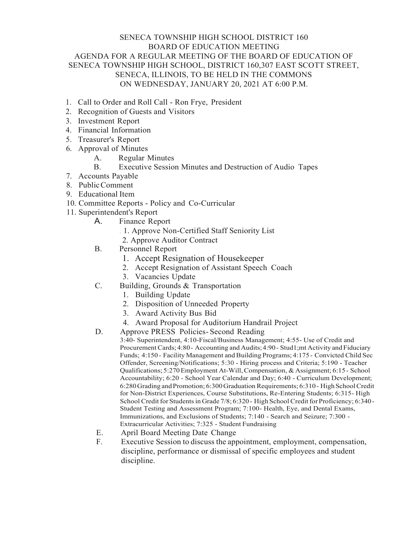## SENECA TOWNSHIP HIGH SCHOOL DISTRICT 160 BOARD OF EDUCATION MEETING AGENDA FOR A REGULAR MEETING OF THE BOARD OF EDUCATION OF SENECA TOWNSHIP HIGH SCHOOL, DISTRICT 160,307 EAST SCOTT STREET, SENECA, ILLINOIS, TO BE HELD IN THE COMMONS ON WEDNESDAY, JANUARY 20, 2021 AT 6:00 P.M.

- 1. Call to Order and Roll Call Ron Frye, President
- 2. Recognition of Guests and Visitors
- 3. Investment Report
- 4. Financial Information
- 5. Treasurer's Report
- 6. Approval of Minutes
	- A. Regular Minutes
	- B. Executive Session Minutes and Destruction of Audio Tapes
- 7. Accounts Payable
- 8. PublicComment
- 9. Educational Item
- 10. Committee Reports Policy and Co-Curricular
- 11. Superintendent's Report
	- A. Finance Report
		- . 1. Approve Non-Certified Staff Seniority List
		- 2. Approve Auditor Contract
	- B. Personnel Report
		- 1. Accept Resignation of Housekeeper
		- 2. Accept Resignation of Assistant Speech Coach
		- 3. Vacancies Update
	- C. Building, Grounds & Transportation
		- 1. Building Update
		- 2. Disposition of Unneeded Property
		- 3. Award Activity Bus Bid
		- 4. Award Proposal for Auditorium Handrail Project
	- D. Approve PRESS Policies- Second Reading

3:40- Superintendent, 4:10-Fiscal/Business Management; 4:55- Use of Credit and Procurement Cards; 4:80- Accounting and Audits;4:90- Stud1;mt Activity andFiduciary Funds; 4:150 - Facility Management and Building Programs; 4:175 - Convicted Child Sec Offender, Screening/Notifications; 5:30 - Hiring process and Criteria; 5:190 - Teacher Qualifications; 5:270Employment At-Will,Compensation, & Assignment; 6:15- School Accountability; 6:20 - School Year Calendar and Day; 6:40 - Curriculum Development; 6:280 Grading and Promotion; 6:300 Graduation Requirements; 6:310 - High School Credit for Non-District Experiences, Course Substitutions, Re-Entering Students; 6:315- High School Credit for Students in Grade 7/8; 6:320 - High School Credit for Proficiency; 6:340 -Student Testing and Assessment Program; 7:100- Health, Eye, and Dental Exams, Immunizations, and Exclusions of Students; 7:140 - Search and Seizure; 7:300 - Extracurricular Activities; 7:325 - Student Fundraising

- E. April Board Meeting Date Change
- F. Executive Session to discuss the appointment, employment, compensation, discipline, performance or dismissal of specific employees and student discipline.